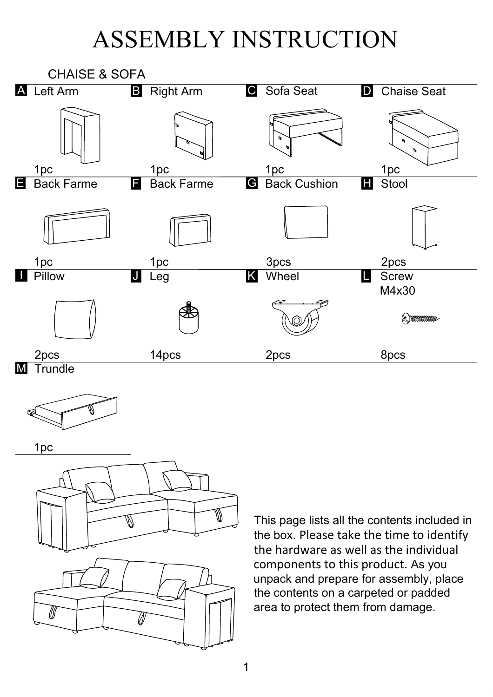## ASSEMBLY INSTRUCTION



W  $\mathbb Z$ 

This page lists all the contents included in the box. Please take the time to identify the hardware as well as the individual components to this product. As you unpack and prepare for assembly, place the contents on a carpeted or padded area to protect them from damage.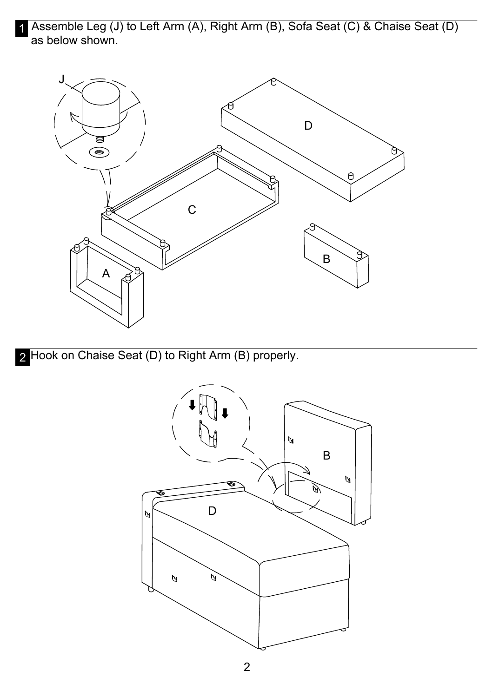1 Assemble Leg (J) to Left Arm (A), Right Arm (B), Sofa Seat (C) & Chaise Seat (D) as below shown.



Hook on Chaise Seat (D) to Right Arm (B) properly. 2

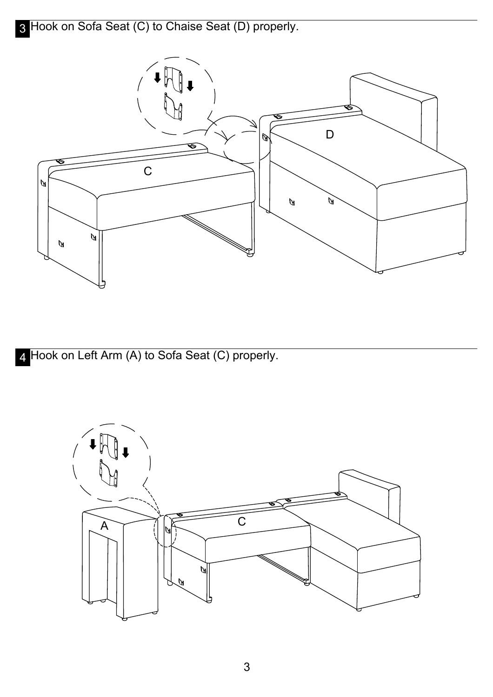

4 Hook on Left Arm (A) to Sofa Seat (C) properly.

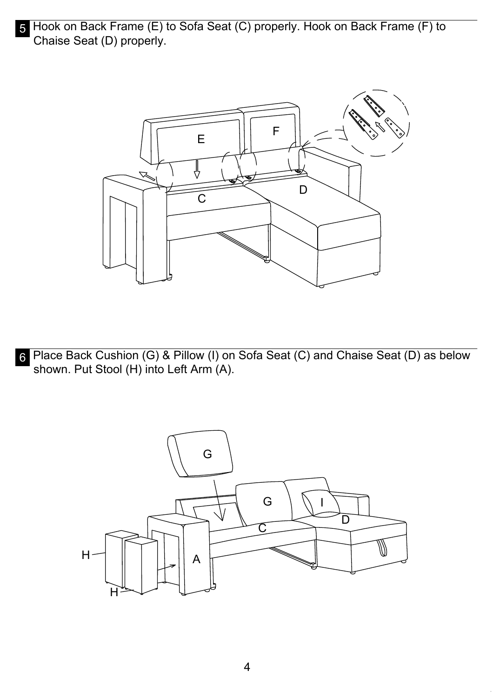5 Hook on Back Frame (E) to Sofa Seat (C) properly. Hook on Back Frame (F) to Chaise Seat (D) properly.



6 Place Back Cushion (G) & Pillow (I) on Sofa Seat (C) and Chaise Seat (D) as below shown. Put Stool (H) into Left Arm (A).